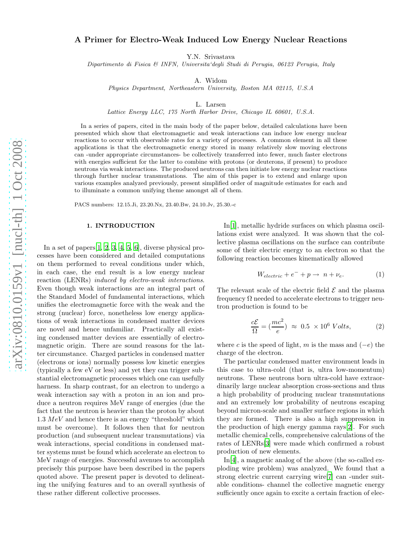# A Primer for Electro-Weak Induced Low Energy Nuclear Reactions

Y.N. Srivastava

*Dipartimento di Fisica & INFN, Universita'degli Studi di Perugia, 06123 Perugia, Italy*

A. Widom

*Physics Department, Northeastern University, Boston MA 02115, U.S.A*

L. Larsen

*Lattice Energy LLC, 175 North Harbor Drive, Chicago IL 60601, U.S.A.*

In a series of papers, cited in the main body of the paper below, detailed calculations have been presented which show that electromagnetic and weak interactions can induce low energy nuclear reactions to occur with observable rates for a variety of processes. A common element in all these applications is that the electromagnetic energy stored in many relatively slow moving electrons can -under appropriate circumstances- be collectively transferred into fewer, much faster electrons with energies sufficient for the latter to combine with protons (or deuterons, if present) to produce neutrons via weak interactions. The produced neutrons can then initiate low energy nuclear reactions through further nuclear transmutations. The aim of this paper is to extend and enlarge upon various examples analyzed previously, present simplified order of magnitude estimates for each and to illuminate a common unifying theme amongst all of them.

PACS numbers: 12.15.Ji, 23.20.Nx, 23.40.Bw, 24.10.Jv, 25.30.-c

## 1. INTRODUCTION

In a set of papers[\[1](#page-7-0), [2,](#page-7-1) [3,](#page-7-2) [4,](#page-7-3) [5,](#page-7-4) [6\]](#page-7-5), diverse physical processes have been considered and detailed computations on them performed to reveal conditions under which, in each case, the end result is a low energy nuclear reaction (LENRs) *induced by electro-weak interactions*. Even though weak interactions are an integral part of the Standard Model of fundamental interactions, which unifies the electromagnetic force with the weak and the strong (nuclear) force, nonetheless low energy applications of weak interactions in condensed matter devices are novel and hence unfamiliar. Practically all existing condensed matter devices are essentially of electromagnetic origin. There are sound reasons for the latter circumstance. Charged particles in condensed matter (electrons or ions) normally possess low kinetic energies (typically a few eV or less) and yet they can trigger substantial electromagnetic processes which one can usefully harness. In sharp contrast, for an electron to undergo a weak interaction say with a proton in an ion and produce a neutron requires MeV range of energies (due the fact that the neutron is heavier than the proton by about  $1.3 \; MeV$  and hence there is an energy "threshold" which must be overcome). It follows then that for neutron production (and subsequent nuclear transmutations) via weak interactions, special conditions in condensed matter systems must be found which accelerate an electron to MeV range of energies. Successful avenues to accomplish precisely this purpose have been described in the papers quoted above. The present paper is devoted to delineating the unifying features and to an overall synthesis of these rather different collective processes.

In[\[1\]](#page-7-0), metallic hydride surfaces on which plasma oscillations exist were analyzed. It was shown that the collective plasma oscillations on the surface can contribute some of their electric energy to an electron so that the following reaction becomes kinematically allowed

$$
W_{electric} + e^{-} + p \rightarrow n + \nu_{e}. \tag{1}
$$

The relevant scale of the electric field  $\mathcal E$  and the plasma frequency  $\Omega$  needed to accelerate electrons to trigger neutron production is found to be

$$
\frac{c\mathcal{E}}{\Omega} = \left(\frac{mc^2}{e}\right) \approx 0.5 \times 10^6 \text{ Volts},\tag{2}
$$

where c is the speed of light, m is the mass and  $(-e)$  the charge of the electron.

The particular condensed matter environment leads in this case to ultra-cold (that is, ultra low-momentum) neutrons. These neutrons born ultra-cold have extraordinarily large nuclear absorption cross-sections and thus a high probability of producing nuclear transmutations and an extremely low probability of neutrons escaping beyond micron-scale and smaller surface regions in which they are formed. There is also a high suppression in the production of high energy gamma rays[\[2\]](#page-7-1). For such metallic chemical cells, comprehensive calculations of th e rates of LENRs[\[3](#page-7-2)] were made which confirmed a robust production of new elements.

In[\[4\]](#page-7-3), a magnetic analog of the above (the so-called exploding wire problem) was analyzed. We found that a strong electric current carrying wire[\[7\]](#page-7-6) can -under suitable conditions- channel the collective magnetic energy sufficiently once again to excite a certain fraction of elec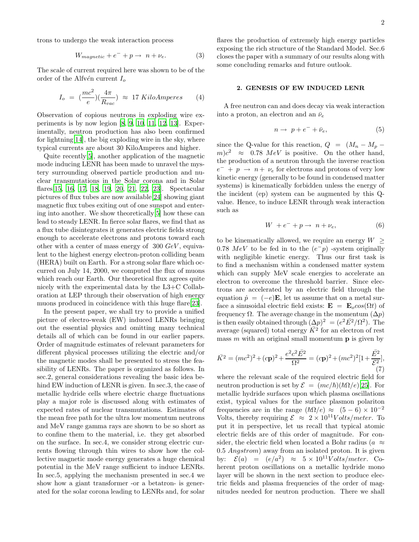trons to undergo the weak interaction process

$$
W_{magnetic} + e^- + p \to n + \nu_e. \tag{3}
$$

The scale of current required here was shown to be of the order of the Alfvén current  $I_o$ 

<span id="page-1-0"></span>
$$
I_o = \left(\frac{mc^2}{e}\right)\left(\frac{4\pi}{R_{vac}}\right) \approx 17 \; KiloAmperes \qquad (4)
$$

Observation of copious neutrons in exploding wire experiments is by now legion [\[8](#page-7-7), [9,](#page-7-8) [10](#page-7-9), [11](#page-7-10), [12,](#page-7-11) [13\]](#page-7-12). Experimentally, neutron production has also been confirmed for lightning[\[14\]](#page-7-13), the big exploding wire in the sky, where typical currents are about 30 KiloAmperes and higher.

Quite recently[\[5\]](#page-7-4), another application of the magnetic mode inducing LENR has been made to unravel the mystery surrounding observed particle production and nuclear transmutations in the Solar corona and in Solar flares[\[15,](#page-7-14) [16,](#page-7-15) [17,](#page-7-16) [18,](#page-7-17) [19,](#page-7-18) [20,](#page-7-19) [21,](#page-7-20) [22,](#page-7-21) [23\]](#page-7-22). Spectacular pictures of flux tubes are now available[\[24](#page-7-23)] showing giant magnetic flux tubes exiting out of one sunspot and entering into another. We show theoretically[\[5](#page-7-4)] how these can lead to steady LENR. In fierce solar flares, we find that as a flux tube disintegrates it generates electric fields strong enough to accelerate electrons and protons toward each other with a center of mass energy of  $300 \text{ GeV}$ , equivalent to the highest energy electron-proton colliding beam (HERA) built on Earth. For a strong solar flare which occurred on July 14, 2000, we computed the flux of muons which reach our Earth. Our theoretical flux agrees quite nicely with the experimental data by the L3+C Collaboration at LEP through their observation of high energy muons produced in coincidence with this huge flare[\[23](#page-7-22)].

In the present paper, we shall try to provide a unified picture of electro-weak (EW) induced LENRs bringing out the essential physics and omitting many technical details all of which can be found in our earlier papers. Order of magnitude estimates of relevant parameters for different physical processes utilizing the electric and/or the magnetic modes shall be presented to stress the feasibility of LENRs. The paper is organized as follows. In sec.2, general considerations revealing the basic idea behind EW induction of LENR is given. In sec.3, the case of metallic hydride cells where electric charge fluctuations play a major role is discussed along with estimates of expected rates of nuclear transmutations. Estimates of the mean free path for the ultra low momentum neutrons and MeV range gamma rays are shown to be so short as to confine them to the material, i.e. they get absorbed on the surface. In sec.4, we consider strong electric currents flowing through thin wires to show how the collective magnetic mode energy generates a huge chemical potential in the MeV range sufficient to induce LENRs. In sec.5, applying the mechanism presented in sec.4 we show how a giant transformer -or a betatron- is generated for the solar corona leading to LENRs and, for solar

flares the production of extremely high energy particles exposing the rich structure of the Standard Model. Sec.6 closes the paper with a summary of our results along with some concluding remarks and future outlook.

# 2. GENESIS OF EW INDUCED LENR

A free neutron can and does decay via weak interaction into a proton, an electron and an  $\bar{\nu}_e$ 

$$
n \to p + e^- + \bar{\nu}_e,\tag{5}
$$

since the Q-value for this reaction,  $Q = (M_n - M_p$  $m)c^2 \approx 0.78 \; MeV$  is positive. On the other hand, the production of a neutron through the inverse reaction  $e^- + p \rightarrow n + \nu_e$  for electrons and protons of very low kinetic energy (generally to be found in condensed matter systems) is kinematically forbidden unless the energy of the incident (ep) system can be augmented by this Qvalue. Hence, to induce LENR through weak interaction such as

$$
W + e^- + p \to n + \nu_e, \tag{6}
$$

to be kinematically allowed, we require an energy  $W \geq$ 0.78 MeV to be fed in to the  $(e^-p)$  -system originally with negligible kinetic energy. Thus our first task is to find a mechanism within a condensed matter system which can supply MeV scale energies to accelerate an electron to overcome the threshold barrier. Since electrons are accelerated by an electric field through the equation  $\dot{p} = (-e)\mathbf{E}$ , let us assume that on a metal surface a sinusoidal electric field exists:  $\mathbf{E} = \mathbf{E}_o cos(\Omega t)$  of frequency  $\Omega$ . The average change in the momentum  $(\Delta p)$ is then easily obtained through  $(\Delta p)^2 = (e^2 \bar{E}^2/\Omega^2)$ . The average (squared) total energy  $K^2$  for an electron of rest mass  $m$  with an original small momentum  $\bf{p}$  is given by

<span id="page-1-1"></span>
$$
\overline{K}^2 = (mc^2)^2 + (c\mathbf{p})^2 + \frac{e^2c^2\overline{E}^2}{\Omega^2} = (c\mathbf{p})^2 + (mc^2)^2[1 + \frac{\overline{E}^2}{\mathcal{E}^2}],
$$
\n(7)

where the relevant scale of the required electric field for neutron production is set by  $\mathcal{E} = (mc/\hbar)(\hbar\Omega/e)[25]$  $\mathcal{E} = (mc/\hbar)(\hbar\Omega/e)[25]$ . For metallic hydride surfaces upon which plasma oscillations exist, typical values for the surface plasmon polariton frequencies are in the range  $(\hbar\Omega/e) \approx (5-6) \times 10^{-2}$ Volts, thereby requiring  $\mathcal{E} \approx 2 \times 10^{11} Volts/meter$ . To put it in perspective, let us recall that typical atomic electric fields are of this order of magnitude. For consider, the electric field when located a Bohr radius ( $a \approx$ 0.5 Angstrom) away from an isolated proton. It is given by:  $\mathcal{E}(a) = (e/a^2) \approx 5 \times 10^{11} \text{Volts/meter.}$  Coherent proton oscillations on a metallic hydride mono layer will be shown in the next section to produce electric fields and plasma frequencies of the order of magnitudes needed for neutron production. There we shall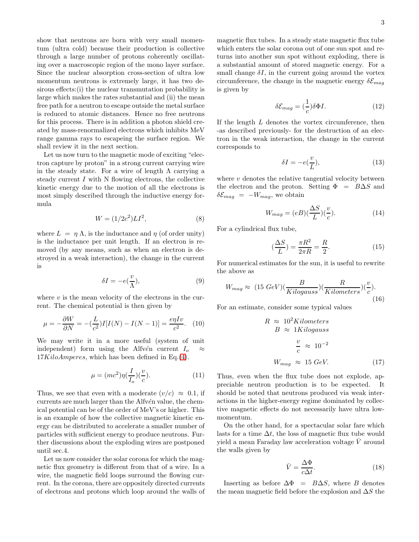show that neutrons are born with very small momentum (ultra cold) because their production is collective through a large number of protons coherently oscillating over a macroscopic region of the mono layer surface. Since the nuclear absorption cross-section of ultra low momentum neutrons is extremely large, it has two desirous effects:(i) the nuclear transmutation probability is large which makes the rates substantial and (ii) the mean free path for a neutron to escape outside the metal surface is reduced to atomic distances. Hence no free neutrons for this process. There is in addition a photon shield created by mass-renormalized electrons which inhibits MeV range gamma rays to escapeing the surface region. We shall review it in the next section.

Let us now turn to the magnetic mode of exciting "electron capture by proton" in a strong current carrying wire in the steady state. For a wire of length  $\Lambda$  carrying a steady current  $I$  with  $N$  flowing electrons, the collective kinetic energy due to the motion of all the electrons is most simply described through the inductive energy formula

$$
W = (1/2c^2)LI^2,
$$
\n(8)

where  $L = \eta \Lambda$ , is the inductance and  $\eta$  (of order unity) is the inductance per unit length. If an electron is removed (by any means, such as when an electron is destroyed in a weak interaction), the change in the current is

$$
\delta I = -e(\frac{v}{\Lambda}),\tag{9}
$$

where  $v$  is the mean velocity of the electrons in the current. The chemical potential is then given by

$$
\mu = -\frac{\partial W}{\partial N} = -\left(\frac{L}{c^2}\right)I[I(N) - I(N-1)] = \frac{e\eta Iv}{c^2}.
$$
 (10)

We may write it in a more useful (system of unit independent) form using the Alfvén current  $I_o$  $17KiloAmperes$ , which has been defined in Eq.[\(4\)](#page-1-0).

<span id="page-2-0"></span>
$$
\mu = (mc^2)\eta(\frac{I}{I_o})(\frac{v}{c}).
$$
\n(11)

Thus, we see that even with a moderate  $(v/c) \approx 0.1$ , if currents are much larger than the Alfvén value, the chemical potential can be of the order of MeV's or higher. This is an example of how the collective magnetic kinetic energy can be distributed to accelerate a smaller number of particles with sufficient energy to produce neutrons. Further discussions about the exploding wires are postponed until sec.4.

Let us now consider the solar corona for which the magnetic flux geometry is different from that of a wire. In a wire, the magnetic field loops surround the flowing current. In the corona, there are oppositely directed currents of electrons and protons which loop around the walls of magnetic flux tubes. In a steady state magnetic flux tube which enters the solar corona out of one sun spot and returns into another sun spot without exploding, there is a substantial amount of stored magnetic energy. For a small change  $\delta I$ , in the current going around the vortex circumference, the change in the magnetic energy  $\delta \mathcal{E}_{mag}$ is given by

$$
\delta \mathcal{E}_{mag} = \left(\frac{1}{c}\right) \delta \Phi I. \tag{12}
$$

If the length L denotes the vortex circumference, then -as described previously- for the destruction of an electron in the weak interaction, the change in the current corresponds to

$$
\delta I = -e(\frac{v}{L}),\tag{13}
$$

where  $v$  denotes the relative tangential velocity between the electron and the proton. Setting  $\Phi = B\Delta S$  and  $\delta \mathcal{E}_{mag} = -W_{mag}$ , we obtain

$$
W_{mag} = (eB)(\frac{\Delta S}{L})(\frac{v}{c}).
$$
\n(14)

For a cylindrical flux tube,

$$
\left(\frac{\Delta S}{L}\right) = \frac{\pi R^2}{2\pi R} = \frac{R}{2}.\tag{15}
$$

For numerical estimates for the sun, it is useful to rewrite the above as

$$
W_{mag} \approx (15 \ GeV)(\frac{B}{Kilogauss})(\frac{R}{Kilometers})(\frac{v}{c}).
$$
\n(16)

For an estimate, consider some typical values

$$
R \approx 10^2 \text{Kilometers}
$$
  
\n
$$
B \approx 1 \text{Kilogauss}
$$
  
\n
$$
\frac{v}{c} \approx 10^{-2}
$$
  
\n
$$
W_{mag} \approx 15 \text{ GeV.}
$$
 (17)

Thus, even when the flux tube does not explode, appreciable neutron production is to be expected. It should be noted that neutrons produced via weak interactions in the higher-energy regime dominated by collective magnetic effects do not necessarily have ultra lowmomentum.

On the other hand, for a spectacular solar fare which lasts for a time  $\Delta t$ , the loss of magnetic flux tube would yield a mean Faraday law acceleration voltage  $\bar{V}$  around the walls given by

$$
\bar{V} = \frac{\Delta \Phi}{c \Delta t}.
$$
\n(18)

Inserting as before  $\Delta \Phi = B \Delta S$ , where B denotes the mean magnetic field before the explosion and  $\Delta S$  the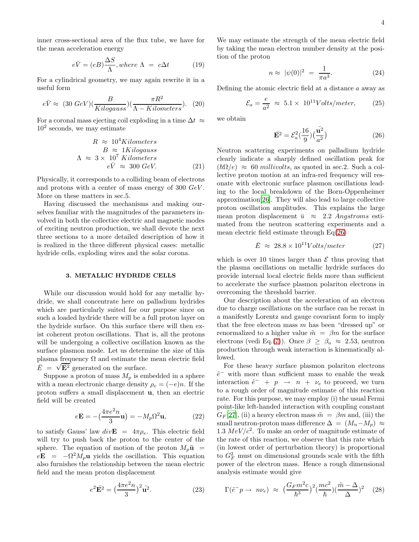inner cross-sectional area of the flux tube, we have for the mean acceleration energy

$$
e\bar{V} = (eB)\frac{\Delta S}{\Lambda}, where \Lambda = c\Delta t \qquad (19)
$$

For a cylindrical geometry, we may again rewrite it in a useful form

$$
e\bar{V} \approx (30 \ GeV)(\frac{B}{Kilogauss})(\frac{\pi R^2}{\Lambda - Kilometers}). (20)
$$

For a coronal mass ejecting coil exploding in a time  $\Delta t \approx$ 10<sup>2</sup> seconds, we may estimate

<span id="page-3-1"></span>
$$
R \approx 10^4
$$
Kilometers  
\n
$$
B \approx 1
$$
Kilogauss  
\n
$$
\Lambda \approx 3 \times 10^7
$$
Kilometers  
\n
$$
e\bar{V} \approx 300
$$
 GeV. (21)

Physically, it corresponds to a colliding beam of electrons and protons with a center of mass energy of 300  $GeV$ . More on these matters in sec.5.

Having discussed the mechanisms and making ourselves familiar with the magnitudes of the parameters involved in both the collectice electric and magnetic modes of exciting neutron production, we shall devote the next three sections to a more detailed description of how it is realized in the three different physical cases: metallic hydride cells, exploding wires and the solar corona.

#### 3. METALLIC HYDRIDE CELLS

While our discussion would hold for any metallic hydride, we shall concentrate here on palladium hydrides which are particularly suited for our purpose since on such a loaded hydride there will be a full proton layer on the hydride surface. On this surface there will then exist coherent proton oscillations. That is, all the protons will be undergoing a collective oscillation known as the surface plasmon mode. Let us determine the size of this plasma frequency  $\Omega$  and estimate the mean electric field  $\vec{E} = \sqrt{\vec{E}^2}$  generated on the surface.

Suppose a proton of mass  $M_p$  is embedded in a sphere with a mean electronic charge density  $\rho_e = (-e)n$ . If the proton suffers a small displacement u, then an electric field will be created

$$
e\mathbf{E} = -\left(\frac{4\pi e^2 n}{3}\mathbf{u}\right) = -M_p \Omega^2 \mathbf{u},\qquad(22)
$$

to satisfy Gauss' law  $div\mathbf{E} = 4\pi \rho_e$ . This electric field will try to push back the proton to the center of the sphere. The equation of motion of the proton  $M_p\ddot{\mathbf{u}} =$  $e\mathbf{E}$  =  $-\Omega^2 M_p \mathbf{u}$  yields the oscillation. This equation also furnishes the relationship between the mean electric field and the mean proton displacement

$$
e^{2}\bar{\mathbf{E}}^{2} = \left(\frac{4\pi e^{2}n}{3}\right)^{2}\bar{\mathbf{u}}^{2}.
$$
 (23)

We may estimate the strength of the mean electric field by taking the mean electron number density at the position of the proton

$$
n \approx |\psi(0)|^2 = \frac{1}{\pi a^3}.
$$
 (24)

Defining the atomic electric field at a distance a away as

$$
\mathcal{E}_a = \frac{e}{a^2} \approx 5.1 \times 10^{11} Volts/meter,
$$
 (25)

we obtain

<span id="page-3-0"></span>
$$
\overline{\mathbf{E}}^2 = \mathcal{E}_a^2(\frac{16}{9})\left(\frac{\overline{\mathbf{u}}^2}{a^2}\right) \tag{26}
$$

Neutron scattering experiments on palladium hydride clearly indicate a sharply defined oscillation peak for  $(\hbar\Omega/e) \approx 60$  millivolts, as quoted in sec. 2. Such a collective proton motion at an infra-red frequency will resonate with electronic surface plasmon oscillations leading to the local breakdown of the Born-Oppenheimer approximation[\[26\]](#page-7-25). They will also lead to large collective proton oscillation amplitudes. This explains the large mean proton displacement  $\bar{u} \approx 2.2$  Angstroms estimated from the neutron scattering experiments and a mean electric field estimate through Eq[\(26\)](#page-3-0)

$$
\bar{E} \approx 28.8 \times 10^{11} Volts/meter \qquad (27)
$$

which is over 10 times larger than  $\mathcal E$  thus proving that the plasma oscillations on metallic hydride surfaces do provide internal local electric fields more than sufficient to accelerate the surface plasmon polariton electrons in overcoming the threshold barrier.

Our description about the acceleration of an electron due to charge oscillations on the surface can be recast in a manifestly Lorentz and gauge covariant form to imply that the free electron mass  $m$  has been "dressed up" or renormalized to a higher value  $\tilde{m} = \beta m$  for the surface electrons (vedi Eq.[\(7\)](#page-1-1)). Once  $\beta \ge \beta_o \approx 2.53$ , neutron production through weak interaction is kinematically allowed.

For these heavy surface plasmon polariton electrons  $\tilde{e}^-$  with more than sufficient mass to enable the weak interaction  $\tilde{e}^-$  + p  $\rightarrow$  n +  $\nu_e$  to proceed, we turn to a rough order of magnitude estimate of this reaction rate. For this purpose, we may employ (i) the usual Fermi point-like left-handed interaction with coupling constant  $G_F[27]$  $G_F[27]$  $G_F[27]$ , (ii) a heavy electron mass  $\tilde{m} = \beta m$  and, (iii) the small neutron-proton mass difference  $\Delta = (M_n - M_p) \approx$ 1.3  $MeV/c^2$ . To make an order of magnitude estimate of the rate of this reaction, we observe that this rate which (in lowest order of perturbation theory) is proportional to  $G_F^2$  must on dimensional grounds scale with the fifth power of the electron mass. Hence a rough dimensional analysis estimate would give

$$
\Gamma(\tilde{e}^-p \to n\nu_e) \approx \left(\frac{G_F m^2 c}{\hbar^3}\right)^2 \left(\frac{mc^2}{\hbar}\right) \left(\frac{\tilde{m} - \Delta}{\Delta}\right)^2 \tag{28}
$$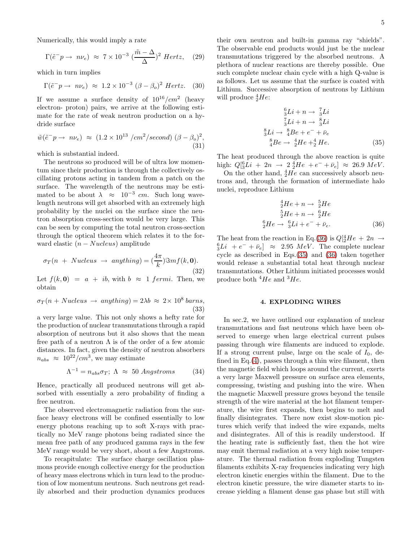Numerically, this would imply a rate

$$
\Gamma(\tilde{e}^- p \to n\nu_e) \approx 7 \times 10^{-3} \left(\frac{\tilde{m} - \Delta}{\Delta}\right)^2 \text{ Hertz}, \quad (29)
$$

which in turn implies

$$
\Gamma(\tilde{e}^-p \to n\nu_e) \approx 1.2 \times 10^{-3} \ (\beta - \beta_o)^2 \ Hertz. \tag{30}
$$

If we assume a surface density of  $10^{16}/cm^2$  (heavy electron- proton) pairs, we arrive at the following estimate for the rate of weak neutron production on a hydride surface

$$
\tilde{w}(\tilde{e}^-p \to n\nu_e) \approx (1.2 \times 10^{13} / cm^2/second) (\beta - \beta_o)^2,
$$
\n(31)

which is substantial indeed.

The neutrons so produced will be of ultra low momentum since their production is through the collectively oscillating protons acting in tandem from a patch on the surface. The wavelength of the neutrons may be estimated to be about  $\lambda \approx 10^{-3}$  cm. Such long wavelength neutrons will get absorbed with an extremely high probability by the nuclei on the surface since the neutron absorption cross-section would be very large. This can be seen by computing the total neutron cross-section through the optical theorem which relates it to the forward elastic  $(n - Nucleus)$  amplitude

$$
\sigma_T(n + Nucleus \rightarrow anything) = (\frac{4\pi}{k})\Im mf(k, \mathbf{0}).
$$
\n(32)

Let  $f(k, 0) = a + ib$ , with  $b \approx 1$  fermi. Then, we obtain

$$
\sigma_T(n + Nucleus \rightarrow anything) = 2\lambda b \approx 2 \times 10^8 \text{ barns},
$$
\n(33)

a very large value. This not only shows a hefty rate for the production of nuclear transmutations through a rapid absorption of neutrons but it also shows that the mean free path of a neutron  $\Lambda$  is of the order of a few atomic distances. In fact, given the density of neutron absorbers  $n_{abs} \approx 10^{22}/cm^3$ , we may estimate

$$
\Lambda^{-1} = n_{abs}\sigma_T; \ \Lambda \ \approx \ 50 \ Angstroms \tag{34}
$$

Hence, practically all produced neutrons will get absorbed with essentially a zero probability of finding a free neutron.

The observed electromagnetic radiation from the surface heavy electrons will be confined essentially to low energy photons reaching up to soft X-rays with practically no MeV range photons being radiated since the mean free path of any produced gamma rays in the few MeV range would be very short, about a few Angstroms.

To recapitulate: The surface charge oscillation plasmons provide enough collective energy for the production of heavy mass electrons which in turn lead to the production of low momentum neutrons. Such neutrons get readily absorbed and their production dynamics produces

their own neutron and built-in gamma ray "shields". The observable end products would just be the nuclear transmutations triggered by the absorbed neutrons. A plethora of nuclear reactions are thereby possible. One such complete nuclear chain cycle with a high Q-value is as follows. Let us assume that the surface is coated with Lithium. Successive absorption of neutrons by Lithium will produce  ${}^{4}_{2}He$ :

<span id="page-4-1"></span>
$$
\begin{array}{rcl}\n & \frac{6}{3}Li + n \rightarrow \frac{7}{3}Li \\
& \frac{7}{3}Li + n \rightarrow \frac{8}{3}Li \\
& \frac{8}{3}Li \rightarrow \frac{8}{4}Be + e^- + \bar{\nu}_e \\
& \frac{8}{4}Be \rightarrow \frac{4}{2}He + \frac{4}{2}He.\n\end{array}
$$
\n
$$
(35)
$$

The heat produced through the above reaction is quite high:  $Q_{3}^{6}Li + 2n \rightarrow 2\frac{4}{2}He + e^{-} + \bar{\nu}_{e} \approx 26.9 \text{ MeV}.$ 

On the other hand,  $\frac{4}{2}He$  can successively absorb neutrons and, through the formation of intermediate halo nuclei, reproduce Lithium

<span id="page-4-0"></span>
$$
{}_{2}^{4}He + n \rightarrow {}_{2}^{5}He
$$
  
\n
$$
{}_{2}^{5}He + n \rightarrow {}_{2}^{6}He
$$
  
\n
$$
{}_{2}^{6}He \rightarrow {}_{3}^{6}Li + e^{-} + \bar{\nu}_{e}.
$$
  
\n(36)

The heat from the reaction in Eq.[\(36\)](#page-4-0) is  $Q_{2}^{4}He + 2n \rightarrow$  ${}^{6}_{3}Li$  +  $e^{-}$  +  $\bar{\nu}_{e}$ ]  $\approx$  2.95 MeV. The complete nuclear cycle as described in Eqs.[\(35\)](#page-4-1) and [\(36\)](#page-4-0) taken together would release a substantial total heat through nuclear transmutations. Other Lithium initiated processes would produce both  ${}^4He$  and  ${}^3He$ .

## 4. EXPLODING WIRES

In sec.2, we have outlined our explanation of nuclear transmutations and fast neutrons which have been observed to emerge when large electrical current pulses passing through wire filaments are induced to explode. If a strong current pulse, large on the scale of  $I_0$ , defined in Eq.[\(4\)](#page-1-0), passes through a thin wire filament, then the magnetic field which loops around the current, exerts a very large Maxwell pressure on surface area elements, compressing, twisting and pushing into the wire. When the magnetic Maxwell pressure grows beyond the tensile strength of the wire material at the hot filament temperature, the wire first expands, then begins to melt and finally disintegrates. There now exist slow-motion pictures which verify that indeed the wire expands, melts and disintegrates. All of this is readily understood. If the heating rate is sufficiently fast, then the hot wire may emit thermal radiation at a very high noise temperature. The thermal radiation from exploding Tungsten filaments exhibits X-ray frequencies indicating very high electron kinetic energies within the filament. Due to the electron kinetic pressure, the wire diameter starts to increase yielding a filament dense gas phase but still with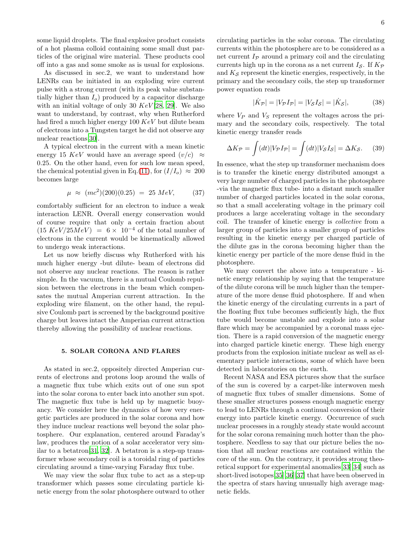some liquid droplets. The final explosive product consists of a hot plasma colloid containing some small dust particles of the original wire material. These products cool off into a gas and some smoke as is usual for explosions.

As discussed in sec.2, we want to understand how LENRs can be initiated in an exploding wire current pulse with a strong current (with its peak value substantially higher than  $I<sub>o</sub>$ ) produced by a capacitor discharge with an initial voltage of only 30  $KeV[28, 29]$  $KeV[28, 29]$  $KeV[28, 29]$  $KeV[28, 29]$ . We also want to understand, by contrast, why when Rutherford had fired a much higher energy 100 KeV but dilute beam of electrons into a Tungsten target he did not observe any nuclear reactions[\[30\]](#page-7-29).

A typical electron in the current with a mean kinetic energy 15 KeV would have an average speed  $(v/c) \approx$ 0.25. On the other hand, even for such low mean speed, the chemical potential given in Eq.[\(11\)](#page-2-0), for  $(I/I_o) \approx 200$ becomes large

$$
\mu \approx (mc^2)(200)(0.25) = 25 \; MeV, \tag{37}
$$

comfortably sufficient for an electron to induce a weak interaction LENR. Overall energy conservation would of course require that only a certain fraction about  $(15 \; KeV/25 MeV) = 6 \times 10^{-4}$  of the total number of electrons in the current would be kinematically allowed to undergo weak interactions.

Let us now briefly discuss why Rutherford with his much higher energy -but dilute- beam of electrons did not observe any nuclear reactions. The reason is rather simple. In the vacuum, there is a mutual Coulomb repulsion between the electrons in the beam which compensates the mutual Amperian current attraction. In the exploding wire filament, on the other hand, the repulsive Coulomb part is screened by the background positive charge but leaves intact the Amperian current attraction thereby allowing the possibility of nuclear reactions.

#### 5. SOLAR CORONA AND FLARES

As stated in sec.2, oppositely directed Amperian currents of electrons and protons loop around the walls of a magnetic flux tube which exits out of one sun spot into the solar corona to enter back into another sun spot. The magnetic flux tube is held up by magnetic buoyancy. We consider here the dynamics of how very energetic particles are produced in the solar corona and how they induce nuclear reactions well beyond the solar photosphere. Our explanation, centered around Faraday's law, produces the notion of a solar accelerator very similar to a betatron[\[31](#page-7-30), [32](#page-7-31)]. A betatron is a step-up transformer whose secondary coil is a toroidal ring of particles circulating around a time-varying Faraday flux tube.

We may view the solar flux tube to act as a step-up transformer which passes some circulating particle kinetic energy from the solar photosphere outward to other

circulating particles in the solar corona. The circulating currents within the photosphere are to be considered as a net current  $I_{\mathcal{P}}$  around a primary coil and the circulating currents high up in the corona as a net current  $I_s$ . If  $K_p$ and  $K_{\mathcal{S}}$  represent the kinetic energies, respectively, in the primary and the secondary coils, the step up transformer power equation reads

$$
|\dot{K}_{\mathcal{P}}| = |V_{\mathcal{P}}I_{\mathcal{P}}| = |V_{\mathcal{S}}I_{\mathcal{S}}| = |\dot{K}_{\mathcal{S}}|,\tag{38}
$$

where  $V_P$  and  $V_S$  represent the voltages across the primary and the secondary coils, respectively. The total kinetic energy transfer reads

$$
\Delta K_{\mathcal{P}} = \int (dt) |V_{\mathcal{P}} I_{\mathcal{P}}| = \int (dt) |V_{\mathcal{S}} I_{\mathcal{S}}| = \Delta K_{\mathcal{S}}.
$$
 (39)

In essence, what the step up transformer mechanism does is to transfer the kinetic energy distributed amongst a very large number of charged particles in the photosphere -via the magnetic flux tube- into a distant much smaller number of charged particles located in the solar corona, so that a small accelerating voltage in the primary coil produces a large accelerating voltage in the secondary coil. The transfer of kinetic energy is collective from a larger group of particles into a smaller group of particles resulting in the kinetic energy per charged particle of the dilute gas in the corona becoming higher than the kinetic energy per particle of the more dense fluid in the photosphere.

We may convert the above into a temperature - kinetic energy relationship by saying that the temperature of the dilute corona will be much higher than the temperature of the more dense fluid photosphere. If and when the kinetic energy of the circulating currents in a part of the floating flux tube becomes sufficiently high, the flux tube would become unstable and explode into a solar flare which may be accompanied by a coronal mass ejection. There is a rapid conversion of the magnetic energy into charged particle kinetic energy. These high energy products from the explosion initiate nuclear as well as elementary particle interactions, some of which have been detected in laboratories on the earth.

Recent NASA and ESA pictures show that the surface of the sun is covered by a carpet-like interwoven mesh of magnetic flux tubes of smaller dimensions. Some of these smaller structures possess enough magnetic energy to lead to LENRs through a continual conversion of their energy into particle kinetic energy. Occurrence of such nuclear processes in a roughly steady state would account for the solar corona remaining much hotter than the photosphere. Needless to say that our picture belies the notion that all nuclear reactions are contained within the core of the sun. On the contrary, it provides strong theoretical support for experimental anomalies[\[33\]](#page-7-32)[\[34\]](#page-7-33) such as short-lived isotopes[\[35\]](#page-7-34)[\[36](#page-7-35)][\[37\]](#page-7-36) that have been observed in the spectra of stars having unusually high average magnetic fields.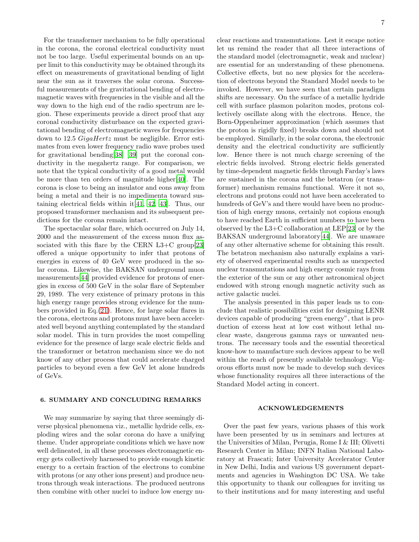For the transformer mechanism to be fully operational in the corona, the coronal electrical conductivity must not be too large. Useful experimental bounds on an upper limit to this conductivity may be obtained through its effect on measurements of gravitational bending of light near the sun as it traverses the solar corona. Successful measurements of the gravitational bending of electromagnetic waves with frequencies in the visible and all the way down to the high end of the radio spectrum are legion. These experiments provide a direct proof that any coronal conductivity disturbance on the expected gravitational bending of electromagnetic waves for frequencies down to 12.5 GigaHertz must be negligible. Error estimates from even lower frequency radio wave probes used for gravitational bending[\[38](#page-7-37)] [\[39\]](#page-7-38) put the coronal conductivity in the megahertz range. For comparison, we note that the typical conductivity of a good metal would be more than ten orders of magnitude higher[\[40\]](#page-7-39). The corona is close to being an insulator and eons away from being a metal and their is no impedimenta toward sustaining electrical fields within it[\[41](#page-7-40), [42](#page-7-41), [43](#page-7-42)]. Thus, our proposed transformer mechanism and its subsequent predictions for the corona remain intact.

The spectacular solar flare, which occurred on July 14, 2000 and the measurement of the excess muon flux associated with this flare by the CERN L3+C group[\[23\]](#page-7-22) offered a unique opportunity to infer that protons of energies in excess of 40 GeV were produced in the solar corona. Likewise, the BAKSAN underground muon measurements[\[44](#page-7-43)] provided evidence for protons of energies in excess of 500 GeV in the solar flare of September 29, 1989. The very existence of primary protons in this high energy range provides strong evidence for the numbers provided in Eq.[\(21\)](#page-3-1). Hence, for large solar flares in the corona, electrons and protons must have been accelerated well beyond anything contemplated by the standard solar model. This in turn provides the most compelling evidence for the presence of large scale electric fields and the transformer or betatron mechanism since we do not know of any other process that could accelerate charged particles to beyond even a few GeV let alone hundreds of GeVs.

#### 6. SUMMARY AND CONCLUDING REMARKS

We may summarize by saying that three seemingly diverse physical phenomena viz., metallic hydride cells, exploding wires and the solar corona do have a unifying theme. Under appropriate conditions which we have now well delineated, in all these processes electromagnetic energy gets collectively harnessed to provide enough kinetic energy to a certain fraction of the electrons to combine with protons (or any other ions present) and produce neutrons through weak interactions. The produced neutrons then combine with other nuclei to induce low energy nuclear reactions and transmutations. Lest it escape notice let us remind the reader that all three interactions of the standard model (electromagnetic, weak and nuclear) are essential for an understanding of these phenomena. Collective effects, but no new physics for the acceleration of electrons beyond the Standard Model needs to be invoked. However, we have seen that certain paradigm shifts are necessary. On the surface of a metallic hydride cell with surface plasmon polariton modes, protons collectively oscillate along with the electrons. Hence, the Born-Oppenheimer approximation (which assumes that the proton is rigidly fixed) breaks down and should not be employed. Similarly, in the solar corona, the electronic density and the electrical conductivity are sufficiently low. Hence there is not much charge screening of the electric fields involved. Strong electric fields generated by time-dependent magnetic fields through Farday's laws are sustained in the corona and the betatron (or transformer) mechanism remains functional. Were it not so, electrons and protons could not have been accelerated to hundreds of GeV's and there would have been no production of high energy muons, certainly not copious enough to have reached Earth in sufficient numbers to have been observed by the L3+C collaboration at LEP[\[23\]](#page-7-22) or by the BAKSAN underground laboratory[\[44\]](#page-7-43). We are unaware of any other alternative scheme for obtaining this result. The betatron mechanism also naturally explains a variety of observed experimental results such as unexpected nuclear transmutations and high energy cosmic rays from the exterior of the sun or any other astronomical object endowed with strong enough magnetic activity such as active galactic nuclei.

The analysis presented in this paper leads us to conclude that realistic possibilities exist for designing LENR devices capable of producing "green energy", that is production of excess heat at low cost without lethal nuclear waste, dangerous gamma rays or unwanted neutrons. The necessary tools and the essential theoretical know-how to manufacture such devices appear to be well within the reach of presently available technology. Vigorous efforts must now be made to develop such devices whose functionality requires all three interactions of the Standard Model acting in concert.

#### ACKNOWLEDGEMENTS

Over the past few years, various phases of this work have been presented by us in seminars and lectures at the Universities of Milan, Perugia, Rome I & III; Olivetti Research Center in Milan; INFN Italian National Laboratory at Frascati; Inter University Accelerator Center in New Delhi, India and various US government departments and agencies in Washington DC USA. We take this opportunity to thank our colleagues for inviting us to their institutions and for many interesting and useful